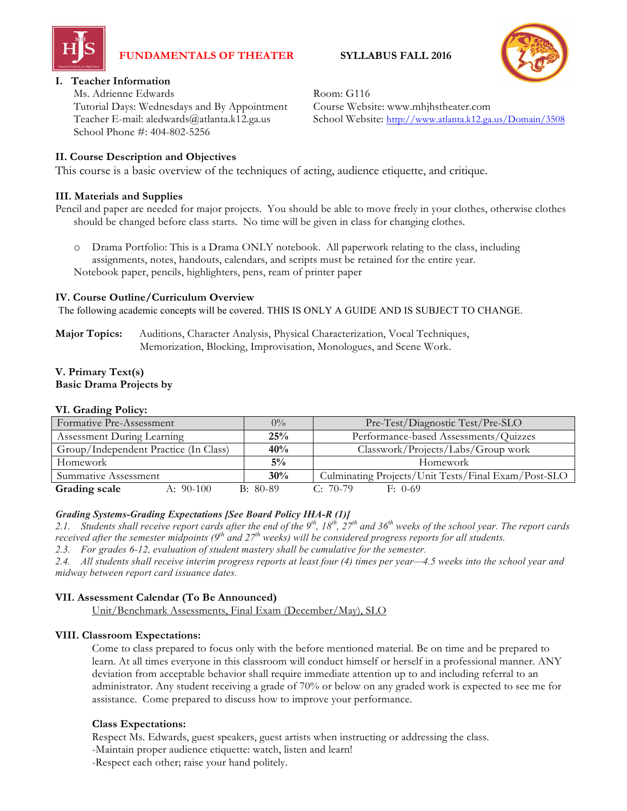

# **FUNDAMENTALS OF THEATER SYLLABUS FALL 2016**



## **I. Teacher Information**

Ms. Adrienne Edwards Room: G116 Tutorial Days: Wednesdays and By Appointment Course Website: www.mhjhstheater.com School Phone #: 404-802-5256

## **II. Course Description and Objectives**

This course is a basic overview of the techniques of acting, audience etiquette, and critique.

## **III. Materials and Supplies**

Pencil and paper are needed for major projects. You should be able to move freely in your clothes, otherwise clothes should be changed before class starts. No time will be given in class for changing clothes.

o Drama Portfolio: This is a Drama ONLY notebook. All paperwork relating to the class, including assignments, notes, handouts, calendars, and scripts must be retained for the entire year. Notebook paper, pencils, highlighters, pens, ream of printer paper

## **IV. Course Outline/Curriculum Overview**

The following academic concepts will be covered. THIS IS ONLY A GUIDE AND IS SUBJECT TO CHANGE.

**Major Topics:** Auditions, Character Analysis, Physical Characterization, Vocal Techniques, Memorization, Blocking, Improvisation, Monologues, and Scene Work.

## **V. Primary Text(s) Basic Drama Projects by**

#### **VI. Grading Policy:**

| Formative Pre-Assessment              | $0\%$      | Pre-Test/Diagnostic Test/Pre-SLO                    |
|---------------------------------------|------------|-----------------------------------------------------|
| Assessment During Learning            | 25%        | Performance-based Assessments/Quizzes               |
| Group/Independent Practice (In Class) | 40%        | Classwork/Projects/Labs/Group work                  |
| Homework                              | $5\%$      | Homework                                            |
| Summative Assessment                  | 30%        | Culminating Projects/Unit Tests/Final Exam/Post-SLO |
| Grading scale<br>A: $90-100$          | $B: 80-89$ | $C: 70-79$<br>$F: 0-69$                             |

## *Grading Systems-Grading Expectations [See Board Policy IHA-R (1)]*

2.1. Students shall receive report cards after the end of the  $9^{th}$ ,  $18^{th}$ ,  $27^{th}$  and 36<sup>th</sup> weeks of the school year. The report cards received after the semester midpoints (9<sup>th</sup> and 27<sup>th</sup> weeks) will be considered progress reports for all students.

*2.3. For grades 6-12, evaluation of student mastery shall be cumulative for the semester.*

2.4. All students shall receive interim progress reports at least four (4) times per year-4.5 weeks into the school year and *midway between report card issuance dates.*

## **VII. Assessment Calendar (To Be Announced)**

Unit/Benchmark Assessments, Final Exam (December/May), SLO

## **VIII. Classroom Expectations:**

Come to class prepared to focus only with the before mentioned material. Be on time and be prepared to learn. At all times everyone in this classroom will conduct himself or herself in a professional manner. ANY deviation from acceptable behavior shall require immediate attention up to and including referral to an administrator. Any student receiving a grade of 70% or below on any graded work is expected to see me for assistance. Come prepared to discuss how to improve your performance.

## **Class Expectations:**

Respect Ms. Edwards, guest speakers, guest artists when instructing or addressing the class. -Maintain proper audience etiquette: watch, listen and learn! -Respect each other; raise your hand politely.

Teacher E-mail: aledwards@atlanta.k12.ga.us School Website: http://www.atlanta.k12.ga.us/Domain/3508